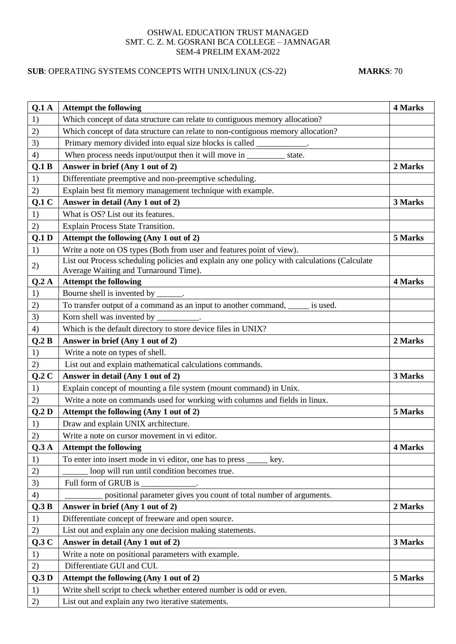## OSHWAL EDUCATION TRUST MANAGED SMT. C. Z. M. GOSRANI BCA COLLEGE – JAMNAGAR SEM-4 PRELIM EXAM-2022

## **SUB**: OPERATING SYSTEMS CONCEPTS WITH UNIX/LINUX (CS-22) **MARKS**: 70

| Q.1A  | <b>Attempt the following</b>                                                                                                          | 4 Marks |
|-------|---------------------------------------------------------------------------------------------------------------------------------------|---------|
| 1)    | Which concept of data structure can relate to contiguous memory allocation?                                                           |         |
| 2)    | Which concept of data structure can relate to non-contiguous memory allocation?                                                       |         |
| 3)    | Primary memory divided into equal size blocks is called ___________.                                                                  |         |
| 4)    | When process needs input/output then it will move in ____________________________<br>state.                                           |         |
| Q.1 B | Answer in brief (Any 1 out of 2)                                                                                                      | 2 Marks |
| 1)    | Differentiate preemptive and non-preemptive scheduling.                                                                               |         |
| 2)    | Explain best fit memory management technique with example.                                                                            |         |
| Q.1C  | Answer in detail (Any 1 out of 2)                                                                                                     | 3 Marks |
| 1)    | What is OS? List out its features.                                                                                                    |         |
| 2)    | Explain Process State Transition.                                                                                                     |         |
| Q.1D  | Attempt the following (Any 1 out of 2)                                                                                                | 5 Marks |
| 1)    | Write a note on OS types (Both from user and features point of view).                                                                 |         |
| 2)    | List out Process scheduling policies and explain any one policy with calculations (Calculate<br>Average Waiting and Turnaround Time). |         |
| Q.2A  | <b>Attempt the following</b>                                                                                                          | 4 Marks |
| 1)    | Bourne shell is invented by _______.                                                                                                  |         |
| 2)    | To transfer output of a command as an input to another command, _____ is used.                                                        |         |
| 3)    | Korn shell was invented by __________.                                                                                                |         |
| 4)    | Which is the default directory to store device files in UNIX?                                                                         |         |
| Q.2B  | Answer in brief (Any 1 out of 2)                                                                                                      | 2 Marks |
| 1)    | Write a note on types of shell.                                                                                                       |         |
| 2)    | List out and explain mathematical calculations commands.                                                                              |         |
| Q.2C  | Answer in detail (Any 1 out of 2)                                                                                                     | 3 Marks |
| 1)    | Explain concept of mounting a file system (mount command) in Unix.                                                                    |         |
| 2)    | Write a note on commands used for working with columns and fields in linux.                                                           |         |
| Q.2D  | Attempt the following (Any 1 out of 2)                                                                                                | 5 Marks |
| 1)    | Draw and explain UNIX architecture.                                                                                                   |         |
| 2)    | Write a note on cursor movement in vi editor.                                                                                         |         |
| Q.3A  | <b>Attempt the following</b>                                                                                                          | 4 Marks |
| 1)    | To enter into insert mode in vi editor, one has to press __<br>key.                                                                   |         |
| 2)    | loop will run until condition becomes true.                                                                                           |         |
| 3)    | Full form of GRUB is                                                                                                                  |         |
| 4)    | positional parameter gives you count of total number of arguments.                                                                    |         |
| Q.3B  | Answer in brief (Any 1 out of 2)                                                                                                      | 2 Marks |
| 1)    | Differentiate concept of freeware and open source.                                                                                    |         |
| 2)    | List out and explain any one decision making statements.                                                                              |         |
| Q.3C  | Answer in detail (Any 1 out of 2)                                                                                                     | 3 Marks |
| 1)    | Write a note on positional parameters with example.                                                                                   |         |
| 2)    | Differentiate GUI and CUI.                                                                                                            |         |
| Q.3D  | Attempt the following (Any 1 out of 2)                                                                                                | 5 Marks |
| 1)    | Write shell script to check whether entered number is odd or even.                                                                    |         |
| 2)    | List out and explain any two iterative statements.                                                                                    |         |